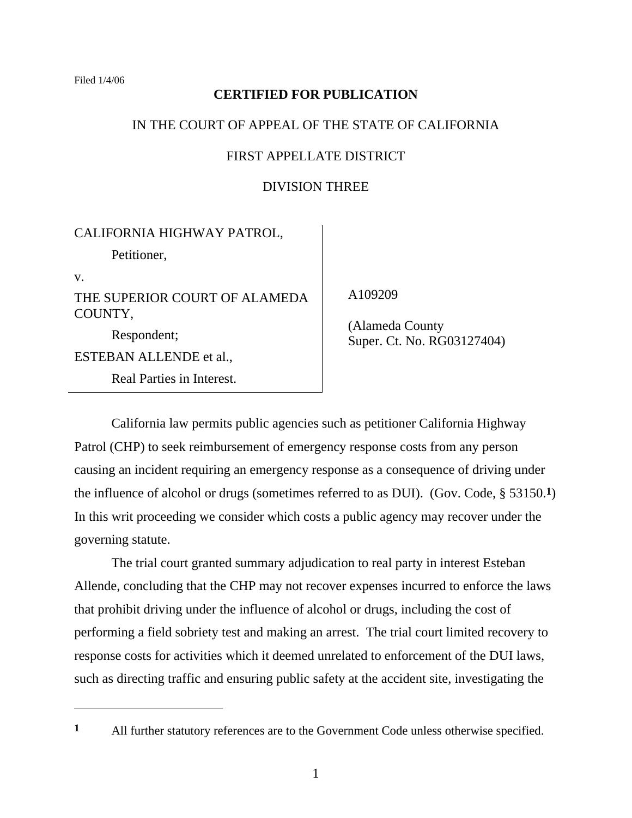Filed 1/4/06

# **CERTIFIED FOR PUBLICATION**

# IN THE COURT OF APPEAL OF THE STATE OF CALIFORNIA

# FIRST APPELLATE DISTRICT

# DIVISION THREE

# CALIFORNIA HIGHWAY PATROL,

Petitioner,

v.

THE SUPERIOR COURT OF ALAMEDA COUNTY,

 Respondent; ESTEBAN ALLENDE et al., Real Parties in Interest. A109209

 (Alameda County Super. Ct. No. RG03127404)

 California law permits public agencies such as petitioner California Highway Patrol (CHP) to seek reimbursement of emergency response costs from any person causing an incident requiring an emergency response as a consequence of driving under the influence of alcohol or drugs (sometimes referred to as DUI). (Gov. Code, § 53150.**1**) In this writ proceeding we consider which costs a public agency may recover under the governing statute.

 The trial court granted summary adjudication to real party in interest Esteban Allende, concluding that the CHP may not recover expenses incurred to enforce the laws that prohibit driving under the influence of alcohol or drugs, including the cost of performing a field sobriety test and making an arrest. The trial court limited recovery to response costs for activities which it deemed unrelated to enforcement of the DUI laws, such as directing traffic and ensuring public safety at the accident site, investigating the

**<sup>1</sup>** All further statutory references are to the Government Code unless otherwise specified.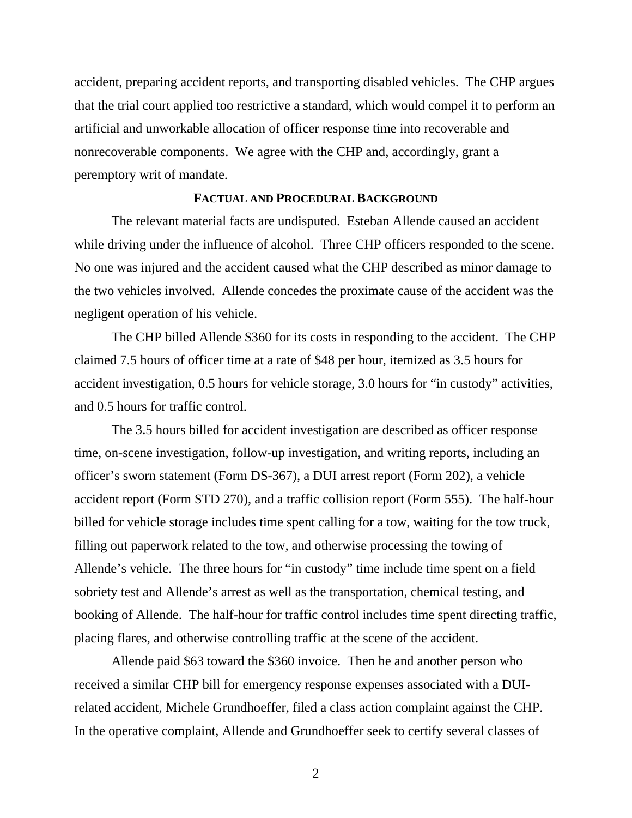accident, preparing accident reports, and transporting disabled vehicles. The CHP argues that the trial court applied too restrictive a standard, which would compel it to perform an artificial and unworkable allocation of officer response time into recoverable and nonrecoverable components. We agree with the CHP and, accordingly, grant a peremptory writ of mandate.

## **FACTUAL AND PROCEDURAL BACKGROUND**

 The relevant material facts are undisputed. Esteban Allende caused an accident while driving under the influence of alcohol. Three CHP officers responded to the scene. No one was injured and the accident caused what the CHP described as minor damage to the two vehicles involved. Allende concedes the proximate cause of the accident was the negligent operation of his vehicle.

 The CHP billed Allende \$360 for its costs in responding to the accident. The CHP claimed 7.5 hours of officer time at a rate of \$48 per hour, itemized as 3.5 hours for accident investigation, 0.5 hours for vehicle storage, 3.0 hours for "in custody" activities, and 0.5 hours for traffic control.

 The 3.5 hours billed for accident investigation are described as officer response time, on-scene investigation, follow-up investigation, and writing reports, including an officer's sworn statement (Form DS-367), a DUI arrest report (Form 202), a vehicle accident report (Form STD 270), and a traffic collision report (Form 555). The half-hour billed for vehicle storage includes time spent calling for a tow, waiting for the tow truck, filling out paperwork related to the tow, and otherwise processing the towing of Allende's vehicle. The three hours for "in custody" time include time spent on a field sobriety test and Allende's arrest as well as the transportation, chemical testing, and booking of Allende. The half-hour for traffic control includes time spent directing traffic, placing flares, and otherwise controlling traffic at the scene of the accident.

 Allende paid \$63 toward the \$360 invoice. Then he and another person who received a similar CHP bill for emergency response expenses associated with a DUIrelated accident, Michele Grundhoeffer, filed a class action complaint against the CHP. In the operative complaint, Allende and Grundhoeffer seek to certify several classes of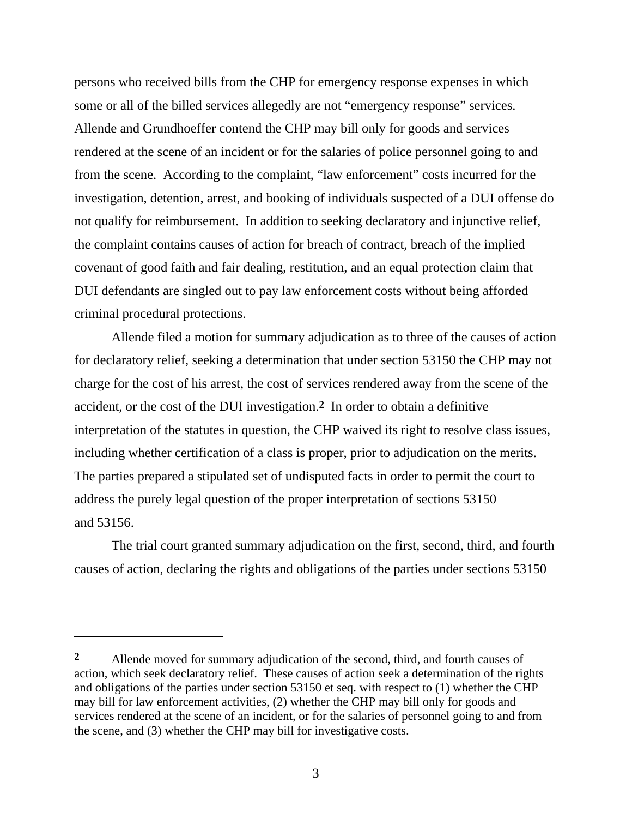persons who received bills from the CHP for emergency response expenses in which some or all of the billed services allegedly are not "emergency response" services. Allende and Grundhoeffer contend the CHP may bill only for goods and services rendered at the scene of an incident or for the salaries of police personnel going to and from the scene. According to the complaint, "law enforcement" costs incurred for the investigation, detention, arrest, and booking of individuals suspected of a DUI offense do not qualify for reimbursement. In addition to seeking declaratory and injunctive relief, the complaint contains causes of action for breach of contract, breach of the implied covenant of good faith and fair dealing, restitution, and an equal protection claim that DUI defendants are singled out to pay law enforcement costs without being afforded criminal procedural protections.

 Allende filed a motion for summary adjudication as to three of the causes of action for declaratory relief, seeking a determination that under section 53150 the CHP may not charge for the cost of his arrest, the cost of services rendered away from the scene of the accident, or the cost of the DUI investigation.**2** In order to obtain a definitive interpretation of the statutes in question, the CHP waived its right to resolve class issues, including whether certification of a class is proper, prior to adjudication on the merits. The parties prepared a stipulated set of undisputed facts in order to permit the court to address the purely legal question of the proper interpretation of sections 53150 and 53156.

 The trial court granted summary adjudication on the first, second, third, and fourth causes of action, declaring the rights and obligations of the parties under sections 53150

**<sup>2</sup>** Allende moved for summary adjudication of the second, third, and fourth causes of action, which seek declaratory relief. These causes of action seek a determination of the rights and obligations of the parties under section 53150 et seq. with respect to (1) whether the CHP may bill for law enforcement activities, (2) whether the CHP may bill only for goods and services rendered at the scene of an incident, or for the salaries of personnel going to and from the scene, and (3) whether the CHP may bill for investigative costs.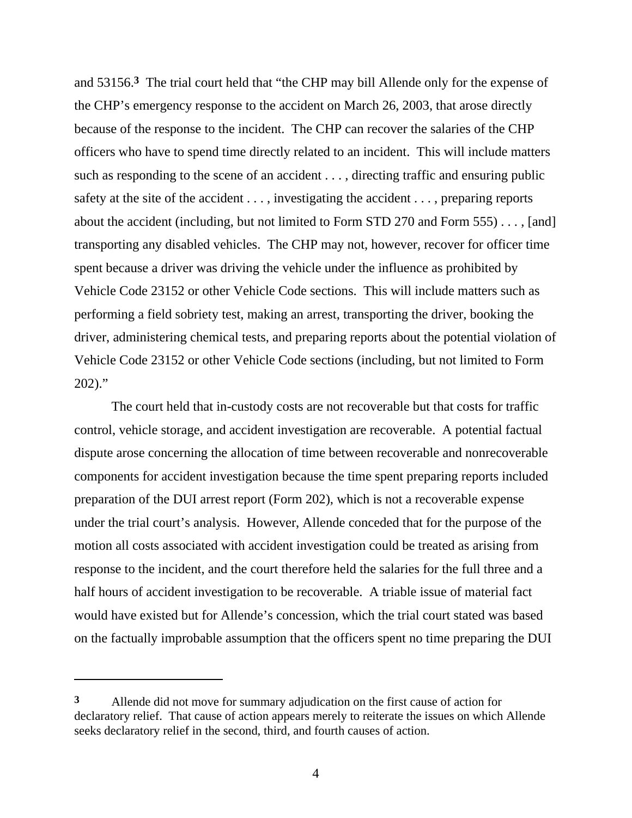and 53156.**3** The trial court held that "the CHP may bill Allende only for the expense of the CHP's emergency response to the accident on March 26, 2003, that arose directly because of the response to the incident. The CHP can recover the salaries of the CHP officers who have to spend time directly related to an incident. This will include matters such as responding to the scene of an accident . . . , directing traffic and ensuring public safety at the site of the accident . . . , investigating the accident . . . , preparing reports about the accident (including, but not limited to Form STD 270 and Form 555) . . . , [and] transporting any disabled vehicles. The CHP may not, however, recover for officer time spent because a driver was driving the vehicle under the influence as prohibited by Vehicle Code 23152 or other Vehicle Code sections. This will include matters such as performing a field sobriety test, making an arrest, transporting the driver, booking the driver, administering chemical tests, and preparing reports about the potential violation of Vehicle Code 23152 or other Vehicle Code sections (including, but not limited to Form  $202$ )."

 The court held that in-custody costs are not recoverable but that costs for traffic control, vehicle storage, and accident investigation are recoverable. A potential factual dispute arose concerning the allocation of time between recoverable and nonrecoverable components for accident investigation because the time spent preparing reports included preparation of the DUI arrest report (Form 202), which is not a recoverable expense under the trial court's analysis. However, Allende conceded that for the purpose of the motion all costs associated with accident investigation could be treated as arising from response to the incident, and the court therefore held the salaries for the full three and a half hours of accident investigation to be recoverable. A triable issue of material fact would have existed but for Allende's concession, which the trial court stated was based on the factually improbable assumption that the officers spent no time preparing the DUI

**<sup>3</sup>** Allende did not move for summary adjudication on the first cause of action for declaratory relief. That cause of action appears merely to reiterate the issues on which Allende seeks declaratory relief in the second, third, and fourth causes of action.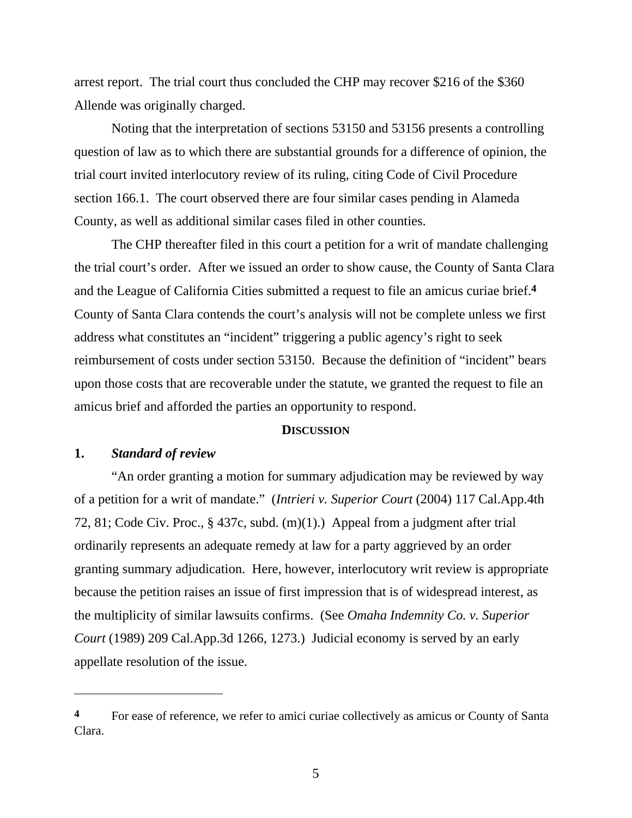arrest report. The trial court thus concluded the CHP may recover \$216 of the \$360 Allende was originally charged.

 Noting that the interpretation of sections 53150 and 53156 presents a controlling question of law as to which there are substantial grounds for a difference of opinion, the trial court invited interlocutory review of its ruling, citing Code of Civil Procedure section 166.1. The court observed there are four similar cases pending in Alameda County, as well as additional similar cases filed in other counties.

 The CHP thereafter filed in this court a petition for a writ of mandate challenging the trial court's order. After we issued an order to show cause, the County of Santa Clara and the League of California Cities submitted a request to file an amicus curiae brief.**4** County of Santa Clara contends the court's analysis will not be complete unless we first address what constitutes an "incident" triggering a public agency's right to seek reimbursement of costs under section 53150. Because the definition of "incident" bears upon those costs that are recoverable under the statute, we granted the request to file an amicus brief and afforded the parties an opportunity to respond.

#### **DISCUSSION**

## **1.** *Standard of review*

 $\overline{a}$ 

 "An order granting a motion for summary adjudication may be reviewed by way of a petition for a writ of mandate." (*Intrieri v. Superior Court* (2004) 117 Cal.App.4th 72, 81; Code Civ. Proc., § 437c, subd. (m)(1).) Appeal from a judgment after trial ordinarily represents an adequate remedy at law for a party aggrieved by an order granting summary adjudication. Here, however, interlocutory writ review is appropriate because the petition raises an issue of first impression that is of widespread interest, as the multiplicity of similar lawsuits confirms. (See *Omaha Indemnity Co. v. Superior Court* (1989) 209 Cal.App.3d 1266, 1273.) Judicial economy is served by an early appellate resolution of the issue.

**<sup>4</sup>** For ease of reference, we refer to amici curiae collectively as amicus or County of Santa Clara.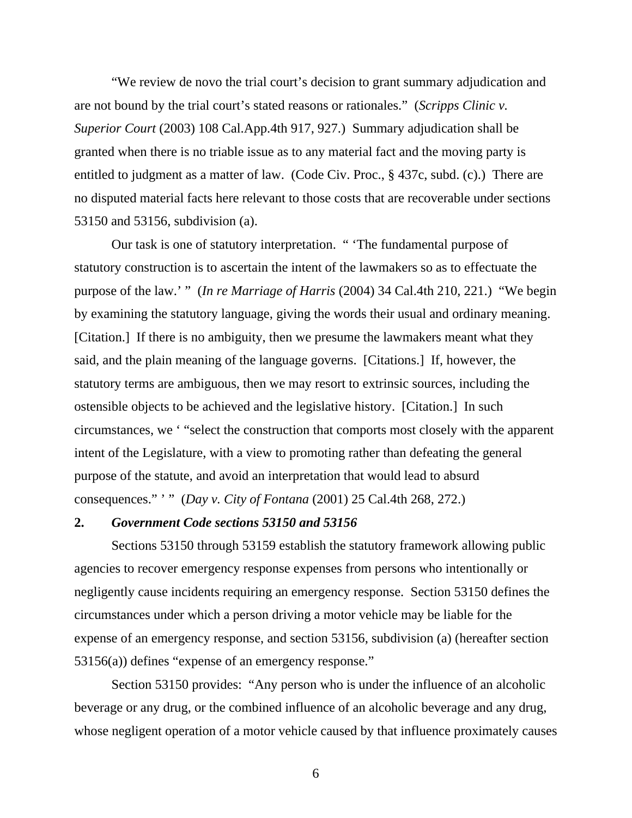"We review de novo the trial court's decision to grant summary adjudication and are not bound by the trial court's stated reasons or rationales." (*Scripps Clinic v. Superior Court* (2003) 108 Cal.App.4th 917, 927.) Summary adjudication shall be granted when there is no triable issue as to any material fact and the moving party is entitled to judgment as a matter of law. (Code Civ. Proc., § 437c, subd. (c).) There are no disputed material facts here relevant to those costs that are recoverable under sections 53150 and 53156, subdivision (a).

 Our task is one of statutory interpretation. " 'The fundamental purpose of statutory construction is to ascertain the intent of the lawmakers so as to effectuate the purpose of the law.' " (*In re Marriage of Harris* (2004) 34 Cal.4th 210, 221.) "We begin by examining the statutory language, giving the words their usual and ordinary meaning. [Citation.] If there is no ambiguity, then we presume the lawmakers meant what they said, and the plain meaning of the language governs. [Citations.] If, however, the statutory terms are ambiguous, then we may resort to extrinsic sources, including the ostensible objects to be achieved and the legislative history. [Citation.] In such circumstances, we ' "select the construction that comports most closely with the apparent intent of the Legislature, with a view to promoting rather than defeating the general purpose of the statute, and avoid an interpretation that would lead to absurd consequences." ' " (*Day v. City of Fontana* (2001) 25 Cal.4th 268, 272.)

## **2.** *Government Code sections 53150 and 53156*

 Sections 53150 through 53159 establish the statutory framework allowing public agencies to recover emergency response expenses from persons who intentionally or negligently cause incidents requiring an emergency response. Section 53150 defines the circumstances under which a person driving a motor vehicle may be liable for the expense of an emergency response, and section 53156, subdivision (a) (hereafter section 53156(a)) defines "expense of an emergency response."

 Section 53150 provides: "Any person who is under the influence of an alcoholic beverage or any drug, or the combined influence of an alcoholic beverage and any drug, whose negligent operation of a motor vehicle caused by that influence proximately causes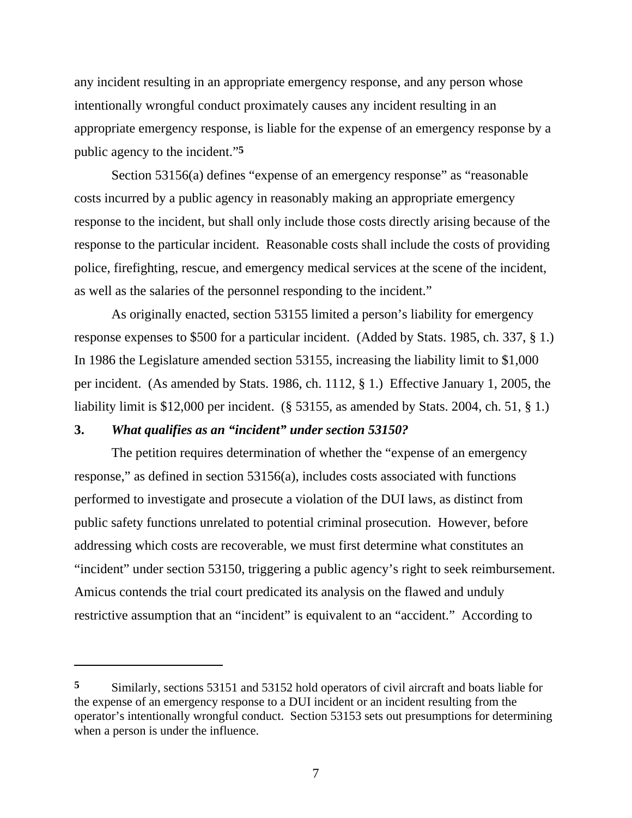any incident resulting in an appropriate emergency response, and any person whose intentionally wrongful conduct proximately causes any incident resulting in an appropriate emergency response, is liable for the expense of an emergency response by a public agency to the incident."**5**

Section 53156(a) defines "expense of an emergency response" as "reasonable costs incurred by a public agency in reasonably making an appropriate emergency response to the incident, but shall only include those costs directly arising because of the response to the particular incident. Reasonable costs shall include the costs of providing police, firefighting, rescue, and emergency medical services at the scene of the incident, as well as the salaries of the personnel responding to the incident."

 As originally enacted, section 53155 limited a person's liability for emergency response expenses to \$500 for a particular incident. (Added by Stats. 1985, ch. 337, § 1.) In 1986 the Legislature amended section 53155, increasing the liability limit to \$1,000 per incident. (As amended by Stats. 1986, ch. 1112, § 1.) Effective January 1, 2005, the liability limit is \$12,000 per incident. (§ 53155, as amended by Stats. 2004, ch. 51, § 1.)

## **3.** *What qualifies as an "incident" under section 53150?*

 $\overline{a}$ 

 The petition requires determination of whether the "expense of an emergency response," as defined in section 53156(a), includes costs associated with functions performed to investigate and prosecute a violation of the DUI laws, as distinct from public safety functions unrelated to potential criminal prosecution. However, before addressing which costs are recoverable, we must first determine what constitutes an "incident" under section 53150, triggering a public agency's right to seek reimbursement. Amicus contends the trial court predicated its analysis on the flawed and unduly restrictive assumption that an "incident" is equivalent to an "accident." According to

**<sup>5</sup>** Similarly, sections 53151 and 53152 hold operators of civil aircraft and boats liable for the expense of an emergency response to a DUI incident or an incident resulting from the operator's intentionally wrongful conduct. Section 53153 sets out presumptions for determining when a person is under the influence.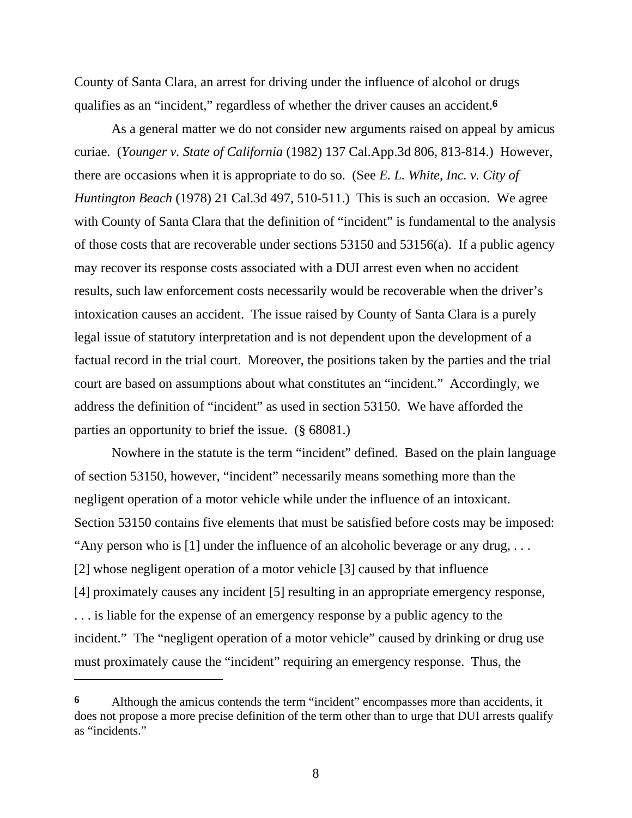County of Santa Clara, an arrest for driving under the influence of alcohol or drugs qualifies as an "incident," regardless of whether the driver causes an accident.**6**

 As a general matter we do not consider new arguments raised on appeal by amicus curiae. (*Younger v. State of California* (1982) 137 Cal.App.3d 806, 813-814.) However, there are occasions when it is appropriate to do so. (See *E. L. White, Inc. v. City of Huntington Beach* (1978) 21 Cal.3d 497, 510-511.) This is such an occasion. We agree with County of Santa Clara that the definition of "incident" is fundamental to the analysis of those costs that are recoverable under sections 53150 and 53156(a). If a public agency may recover its response costs associated with a DUI arrest even when no accident results, such law enforcement costs necessarily would be recoverable when the driver's intoxication causes an accident. The issue raised by County of Santa Clara is a purely legal issue of statutory interpretation and is not dependent upon the development of a factual record in the trial court. Moreover, the positions taken by the parties and the trial court are based on assumptions about what constitutes an "incident." Accordingly, we address the definition of "incident" as used in section 53150. We have afforded the parties an opportunity to brief the issue. (§ 68081.)

 Nowhere in the statute is the term "incident" defined. Based on the plain language of section 53150, however, "incident" necessarily means something more than the negligent operation of a motor vehicle while under the influence of an intoxicant. Section 53150 contains five elements that must be satisfied before costs may be imposed: "Any person who is  $[1]$  under the influence of an alcoholic beverage or any drug, ... [2] whose negligent operation of a motor vehicle [3] caused by that influence [4] proximately causes any incident [5] resulting in an appropriate emergency response, . . . is liable for the expense of an emergency response by a public agency to the incident." The "negligent operation of a motor vehicle" caused by drinking or drug use must proximately cause the "incident" requiring an emergency response. Thus, the

**<sup>6</sup>** Although the amicus contends the term "incident" encompasses more than accidents, it does not propose a more precise definition of the term other than to urge that DUI arrests qualify as "incidents."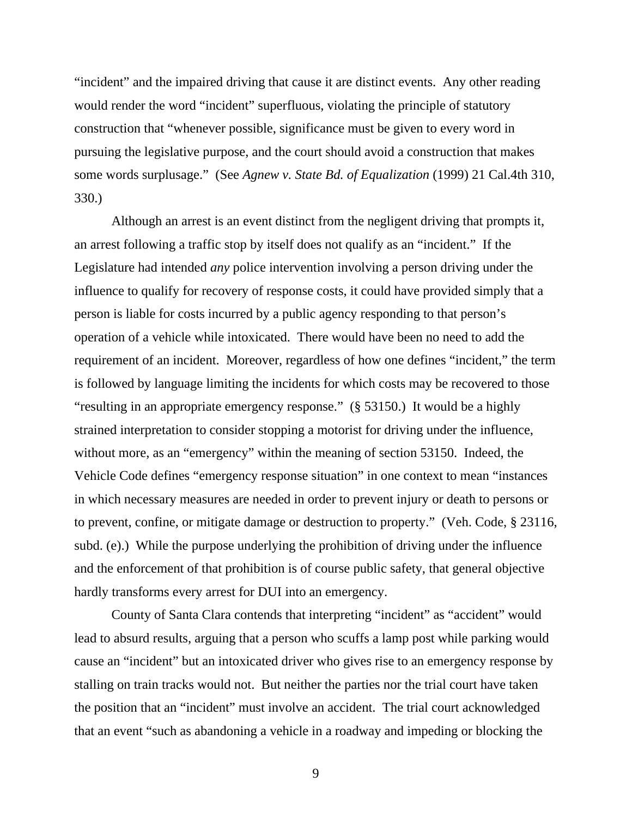"incident" and the impaired driving that cause it are distinct events. Any other reading would render the word "incident" superfluous, violating the principle of statutory construction that "whenever possible, significance must be given to every word in pursuing the legislative purpose, and the court should avoid a construction that makes some words surplusage." (See *Agnew v. State Bd. of Equalization* (1999) 21 Cal.4th 310, 330.)

 Although an arrest is an event distinct from the negligent driving that prompts it, an arrest following a traffic stop by itself does not qualify as an "incident." If the Legislature had intended *any* police intervention involving a person driving under the influence to qualify for recovery of response costs, it could have provided simply that a person is liable for costs incurred by a public agency responding to that person's operation of a vehicle while intoxicated. There would have been no need to add the requirement of an incident. Moreover, regardless of how one defines "incident," the term is followed by language limiting the incidents for which costs may be recovered to those "resulting in an appropriate emergency response." (§ 53150.) It would be a highly strained interpretation to consider stopping a motorist for driving under the influence, without more, as an "emergency" within the meaning of section 53150. Indeed, the Vehicle Code defines "emergency response situation" in one context to mean "instances in which necessary measures are needed in order to prevent injury or death to persons or to prevent, confine, or mitigate damage or destruction to property." (Veh. Code, § 23116, subd. (e).) While the purpose underlying the prohibition of driving under the influence and the enforcement of that prohibition is of course public safety, that general objective hardly transforms every arrest for DUI into an emergency.

County of Santa Clara contends that interpreting "incident" as "accident" would lead to absurd results, arguing that a person who scuffs a lamp post while parking would cause an "incident" but an intoxicated driver who gives rise to an emergency response by stalling on train tracks would not. But neither the parties nor the trial court have taken the position that an "incident" must involve an accident. The trial court acknowledged that an event "such as abandoning a vehicle in a roadway and impeding or blocking the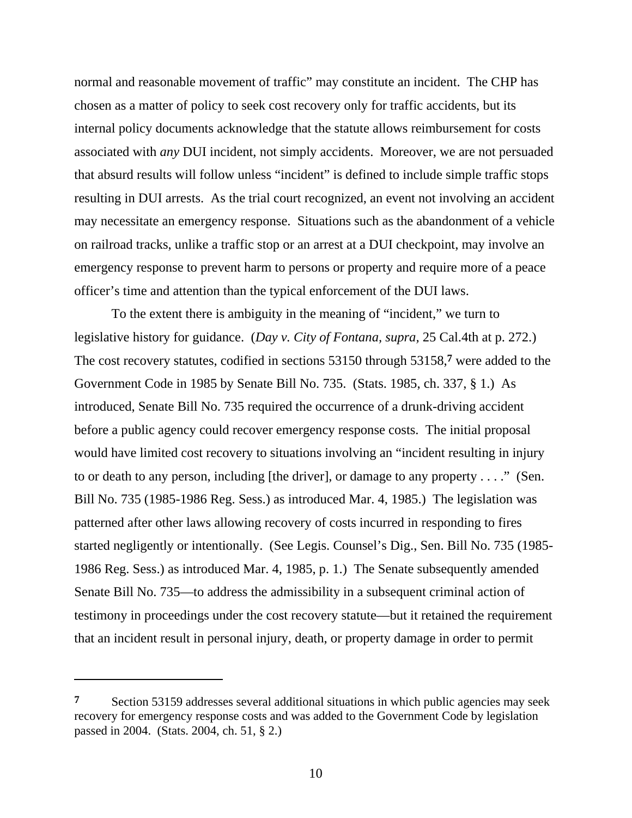normal and reasonable movement of traffic" may constitute an incident. The CHP has chosen as a matter of policy to seek cost recovery only for traffic accidents, but its internal policy documents acknowledge that the statute allows reimbursement for costs associated with *any* DUI incident, not simply accidents. Moreover, we are not persuaded that absurd results will follow unless "incident" is defined to include simple traffic stops resulting in DUI arrests. As the trial court recognized, an event not involving an accident may necessitate an emergency response. Situations such as the abandonment of a vehicle on railroad tracks, unlike a traffic stop or an arrest at a DUI checkpoint, may involve an emergency response to prevent harm to persons or property and require more of a peace officer's time and attention than the typical enforcement of the DUI laws.

 To the extent there is ambiguity in the meaning of "incident," we turn to legislative history for guidance. (*Day v. City of Fontana, supra,* 25 Cal.4th at p. 272.) The cost recovery statutes, codified in sections 53150 through 53158,**7** were added to the Government Code in 1985 by Senate Bill No. 735. (Stats. 1985, ch. 337, § 1.) As introduced, Senate Bill No. 735 required the occurrence of a drunk-driving accident before a public agency could recover emergency response costs. The initial proposal would have limited cost recovery to situations involving an "incident resulting in injury to or death to any person, including [the driver], or damage to any property . . . ." (Sen. Bill No. 735 (1985-1986 Reg. Sess.) as introduced Mar. 4, 1985.) The legislation was patterned after other laws allowing recovery of costs incurred in responding to fires started negligently or intentionally. (See Legis. Counsel's Dig., Sen. Bill No. 735 (1985- 1986 Reg. Sess.) as introduced Mar. 4, 1985, p. 1.) The Senate subsequently amended Senate Bill No. 735—to address the admissibility in a subsequent criminal action of testimony in proceedings under the cost recovery statute—but it retained the requirement that an incident result in personal injury, death, or property damage in order to permit

**<sup>7</sup>** Section 53159 addresses several additional situations in which public agencies may seek recovery for emergency response costs and was added to the Government Code by legislation passed in 2004. (Stats. 2004, ch. 51, § 2.)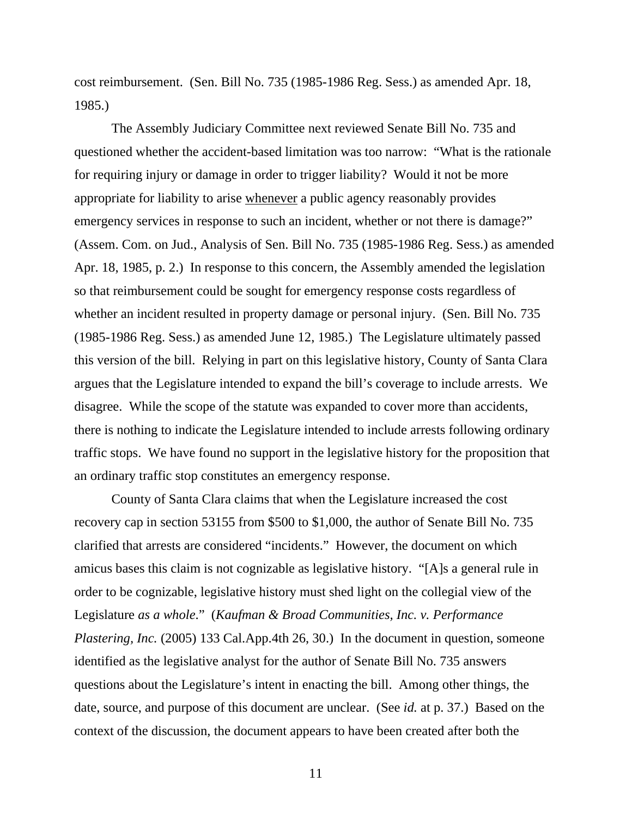cost reimbursement. (Sen. Bill No. 735 (1985-1986 Reg. Sess.) as amended Apr. 18, 1985.)

 The Assembly Judiciary Committee next reviewed Senate Bill No. 735 and questioned whether the accident-based limitation was too narrow: "What is the rationale for requiring injury or damage in order to trigger liability? Would it not be more appropriate for liability to arise whenever a public agency reasonably provides emergency services in response to such an incident, whether or not there is damage?" (Assem. Com. on Jud., Analysis of Sen. Bill No. 735 (1985-1986 Reg. Sess.) as amended Apr. 18, 1985, p. 2.) In response to this concern, the Assembly amended the legislation so that reimbursement could be sought for emergency response costs regardless of whether an incident resulted in property damage or personal injury. (Sen. Bill No. 735 (1985-1986 Reg. Sess.) as amended June 12, 1985.) The Legislature ultimately passed this version of the bill. Relying in part on this legislative history, County of Santa Clara argues that the Legislature intended to expand the bill's coverage to include arrests. We disagree. While the scope of the statute was expanded to cover more than accidents, there is nothing to indicate the Legislature intended to include arrests following ordinary traffic stops. We have found no support in the legislative history for the proposition that an ordinary traffic stop constitutes an emergency response.

 County of Santa Clara claims that when the Legislature increased the cost recovery cap in section 53155 from \$500 to \$1,000, the author of Senate Bill No. 735 clarified that arrests are considered "incidents." However, the document on which amicus bases this claim is not cognizable as legislative history. "[A]s a general rule in order to be cognizable, legislative history must shed light on the collegial view of the Legislature *as a whole*." (*Kaufman & Broad Communities, Inc. v. Performance Plastering, Inc.* (2005) 133 Cal.App.4th 26, 30.) In the document in question, someone identified as the legislative analyst for the author of Senate Bill No. 735 answers questions about the Legislature's intent in enacting the bill. Among other things, the date, source, and purpose of this document are unclear. (See *id.* at p. 37.) Based on the context of the discussion, the document appears to have been created after both the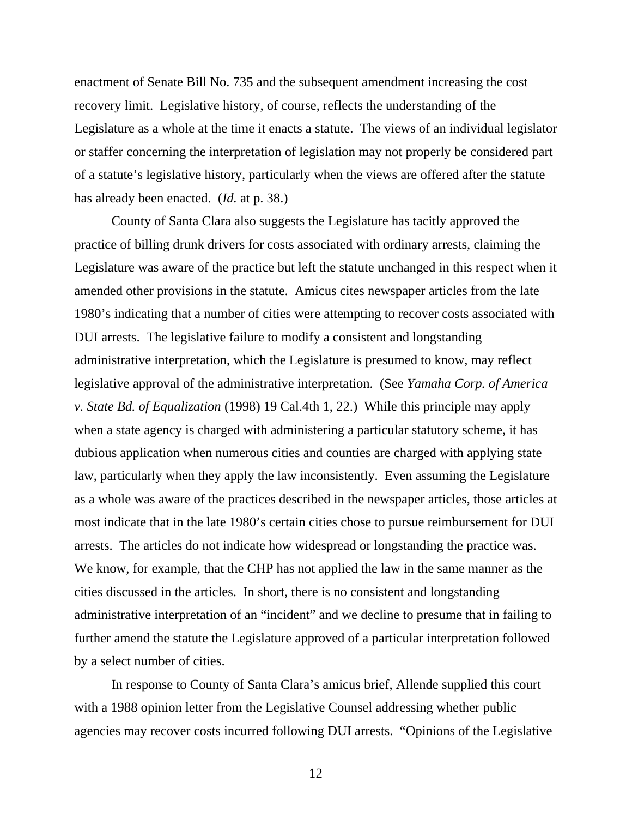enactment of Senate Bill No. 735 and the subsequent amendment increasing the cost recovery limit. Legislative history, of course, reflects the understanding of the Legislature as a whole at the time it enacts a statute. The views of an individual legislator or staffer concerning the interpretation of legislation may not properly be considered part of a statute's legislative history, particularly when the views are offered after the statute has already been enacted. (*Id.* at p. 38.)

 County of Santa Clara also suggests the Legislature has tacitly approved the practice of billing drunk drivers for costs associated with ordinary arrests, claiming the Legislature was aware of the practice but left the statute unchanged in this respect when it amended other provisions in the statute. Amicus cites newspaper articles from the late 1980's indicating that a number of cities were attempting to recover costs associated with DUI arrests. The legislative failure to modify a consistent and longstanding administrative interpretation, which the Legislature is presumed to know, may reflect legislative approval of the administrative interpretation. (See *Yamaha Corp. of America v. State Bd. of Equalization* (1998) 19 Cal.4th 1, 22.) While this principle may apply when a state agency is charged with administering a particular statutory scheme, it has dubious application when numerous cities and counties are charged with applying state law, particularly when they apply the law inconsistently. Even assuming the Legislature as a whole was aware of the practices described in the newspaper articles, those articles at most indicate that in the late 1980's certain cities chose to pursue reimbursement for DUI arrests. The articles do not indicate how widespread or longstanding the practice was. We know, for example, that the CHP has not applied the law in the same manner as the cities discussed in the articles. In short, there is no consistent and longstanding administrative interpretation of an "incident" and we decline to presume that in failing to further amend the statute the Legislature approved of a particular interpretation followed by a select number of cities.

 In response to County of Santa Clara's amicus brief, Allende supplied this court with a 1988 opinion letter from the Legislative Counsel addressing whether public agencies may recover costs incurred following DUI arrests. "Opinions of the Legislative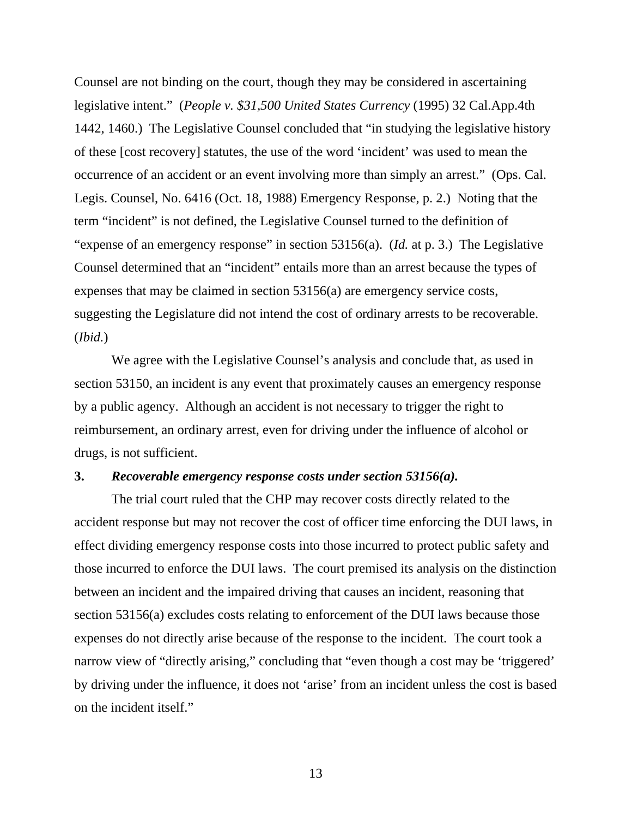Counsel are not binding on the court, though they may be considered in ascertaining legislative intent." (*People v. \$31,500 United States Currency* (1995) 32 Cal.App.4th 1442, 1460.) The Legislative Counsel concluded that "in studying the legislative history of these [cost recovery] statutes, the use of the word 'incident' was used to mean the occurrence of an accident or an event involving more than simply an arrest." (Ops. Cal. Legis. Counsel, No. 6416 (Oct. 18, 1988) Emergency Response, p. 2.) Noting that the term "incident" is not defined, the Legislative Counsel turned to the definition of "expense of an emergency response" in section 53156(a). (*Id.* at p. 3.) The Legislative Counsel determined that an "incident" entails more than an arrest because the types of expenses that may be claimed in section 53156(a) are emergency service costs, suggesting the Legislature did not intend the cost of ordinary arrests to be recoverable. (*Ibid.*)

 We agree with the Legislative Counsel's analysis and conclude that, as used in section 53150, an incident is any event that proximately causes an emergency response by a public agency. Although an accident is not necessary to trigger the right to reimbursement, an ordinary arrest, even for driving under the influence of alcohol or drugs, is not sufficient.

## **3.** *Recoverable emergency response costs under section 53156(a).*

 The trial court ruled that the CHP may recover costs directly related to the accident response but may not recover the cost of officer time enforcing the DUI laws, in effect dividing emergency response costs into those incurred to protect public safety and those incurred to enforce the DUI laws. The court premised its analysis on the distinction between an incident and the impaired driving that causes an incident, reasoning that section 53156(a) excludes costs relating to enforcement of the DUI laws because those expenses do not directly arise because of the response to the incident. The court took a narrow view of "directly arising," concluding that "even though a cost may be 'triggered' by driving under the influence, it does not 'arise' from an incident unless the cost is based on the incident itself."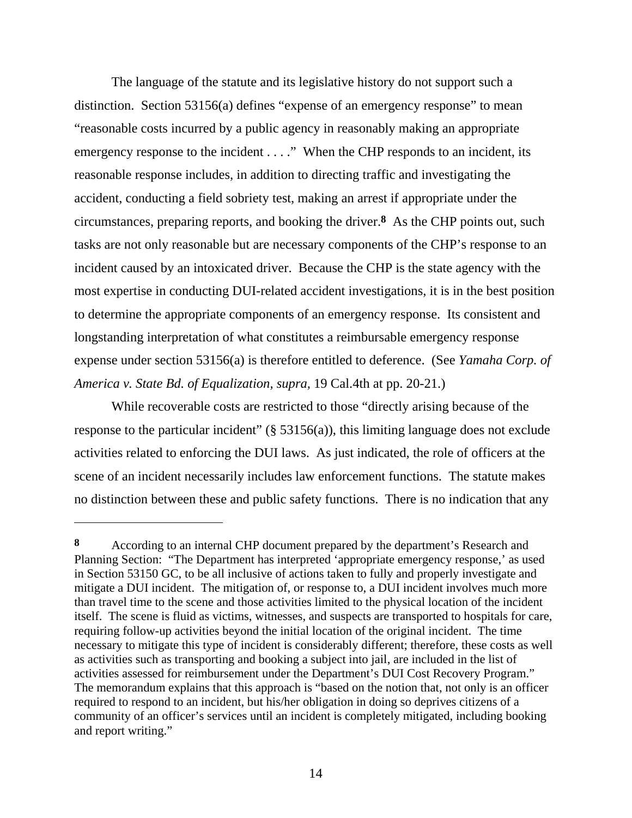The language of the statute and its legislative history do not support such a distinction. Section 53156(a) defines "expense of an emergency response" to mean "reasonable costs incurred by a public agency in reasonably making an appropriate emergency response to the incident . . . ." When the CHP responds to an incident, its reasonable response includes, in addition to directing traffic and investigating the accident, conducting a field sobriety test, making an arrest if appropriate under the circumstances, preparing reports, and booking the driver.**8** As the CHP points out, such tasks are not only reasonable but are necessary components of the CHP's response to an incident caused by an intoxicated driver. Because the CHP is the state agency with the most expertise in conducting DUI-related accident investigations, it is in the best position to determine the appropriate components of an emergency response. Its consistent and longstanding interpretation of what constitutes a reimbursable emergency response expense under section 53156(a) is therefore entitled to deference. (See *Yamaha Corp. of America v. State Bd. of Equalization, supra,* 19 Cal.4th at pp. 20-21.)

 While recoverable costs are restricted to those "directly arising because of the response to the particular incident"  $(\S 53156(a))$ , this limiting language does not exclude activities related to enforcing the DUI laws. As just indicated, the role of officers at the scene of an incident necessarily includes law enforcement functions. The statute makes no distinction between these and public safety functions. There is no indication that any

**<sup>8</sup>** According to an internal CHP document prepared by the department's Research and Planning Section: "The Department has interpreted 'appropriate emergency response,' as used in Section 53150 GC, to be all inclusive of actions taken to fully and properly investigate and mitigate a DUI incident. The mitigation of, or response to, a DUI incident involves much more than travel time to the scene and those activities limited to the physical location of the incident itself. The scene is fluid as victims, witnesses, and suspects are transported to hospitals for care, requiring follow-up activities beyond the initial location of the original incident. The time necessary to mitigate this type of incident is considerably different; therefore, these costs as well as activities such as transporting and booking a subject into jail, are included in the list of activities assessed for reimbursement under the Department's DUI Cost Recovery Program." The memorandum explains that this approach is "based on the notion that, not only is an officer required to respond to an incident, but his/her obligation in doing so deprives citizens of a community of an officer's services until an incident is completely mitigated, including booking and report writing."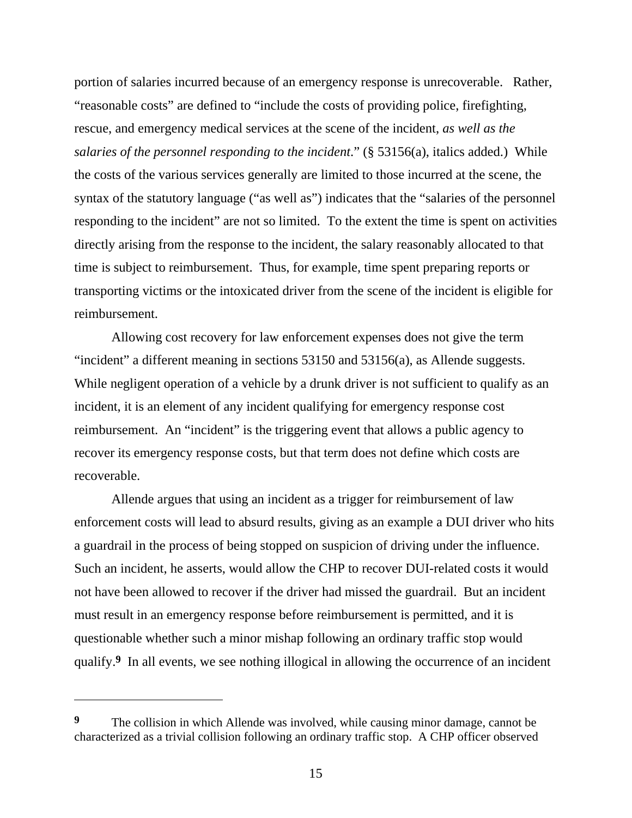portion of salaries incurred because of an emergency response is unrecoverable. Rather, "reasonable costs" are defined to "include the costs of providing police, firefighting, rescue, and emergency medical services at the scene of the incident, *as well as the salaries of the personnel responding to the incident*." (§ 53156(a), italics added.) While the costs of the various services generally are limited to those incurred at the scene, the syntax of the statutory language ("as well as") indicates that the "salaries of the personnel responding to the incident" are not so limited. To the extent the time is spent on activities directly arising from the response to the incident, the salary reasonably allocated to that time is subject to reimbursement. Thus, for example, time spent preparing reports or transporting victims or the intoxicated driver from the scene of the incident is eligible for reimbursement.

 Allowing cost recovery for law enforcement expenses does not give the term "incident" a different meaning in sections 53150 and 53156(a), as Allende suggests. While negligent operation of a vehicle by a drunk driver is not sufficient to qualify as an incident, it is an element of any incident qualifying for emergency response cost reimbursement. An "incident" is the triggering event that allows a public agency to recover its emergency response costs, but that term does not define which costs are recoverable.

 Allende argues that using an incident as a trigger for reimbursement of law enforcement costs will lead to absurd results, giving as an example a DUI driver who hits a guardrail in the process of being stopped on suspicion of driving under the influence. Such an incident, he asserts, would allow the CHP to recover DUI-related costs it would not have been allowed to recover if the driver had missed the guardrail. But an incident must result in an emergency response before reimbursement is permitted, and it is questionable whether such a minor mishap following an ordinary traffic stop would qualify.**9** In all events, we see nothing illogical in allowing the occurrence of an incident

**<sup>9</sup>** The collision in which Allende was involved, while causing minor damage, cannot be characterized as a trivial collision following an ordinary traffic stop. A CHP officer observed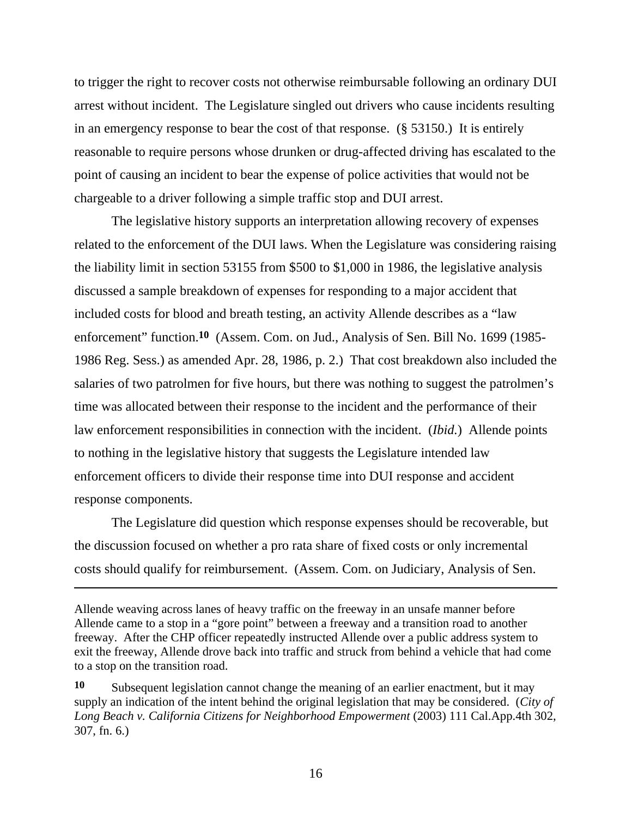to trigger the right to recover costs not otherwise reimbursable following an ordinary DUI arrest without incident. The Legislature singled out drivers who cause incidents resulting in an emergency response to bear the cost of that response. (§ 53150.) It is entirely reasonable to require persons whose drunken or drug-affected driving has escalated to the point of causing an incident to bear the expense of police activities that would not be chargeable to a driver following a simple traffic stop and DUI arrest.

 The legislative history supports an interpretation allowing recovery of expenses related to the enforcement of the DUI laws. When the Legislature was considering raising the liability limit in section 53155 from \$500 to \$1,000 in 1986, the legislative analysis discussed a sample breakdown of expenses for responding to a major accident that included costs for blood and breath testing, an activity Allende describes as a "law enforcement" function.**10** (Assem. Com. on Jud., Analysis of Sen. Bill No. 1699 (1985- 1986 Reg. Sess.) as amended Apr. 28, 1986, p. 2.) That cost breakdown also included the salaries of two patrolmen for five hours, but there was nothing to suggest the patrolmen's time was allocated between their response to the incident and the performance of their law enforcement responsibilities in connection with the incident. (*Ibid.*) Allende points to nothing in the legislative history that suggests the Legislature intended law enforcement officers to divide their response time into DUI response and accident response components.

 The Legislature did question which response expenses should be recoverable, but the discussion focused on whether a pro rata share of fixed costs or only incremental costs should qualify for reimbursement. (Assem. Com. on Judiciary, Analysis of Sen.

Allende weaving across lanes of heavy traffic on the freeway in an unsafe manner before Allende came to a stop in a "gore point" between a freeway and a transition road to another freeway. After the CHP officer repeatedly instructed Allende over a public address system to exit the freeway, Allende drove back into traffic and struck from behind a vehicle that had come to a stop on the transition road.

**<sup>10</sup>** Subsequent legislation cannot change the meaning of an earlier enactment, but it may supply an indication of the intent behind the original legislation that may be considered. (*City of Long Beach v. California Citizens for Neighborhood Empowerment* (2003) 111 Cal.App.4th 302, 307, fn. 6.)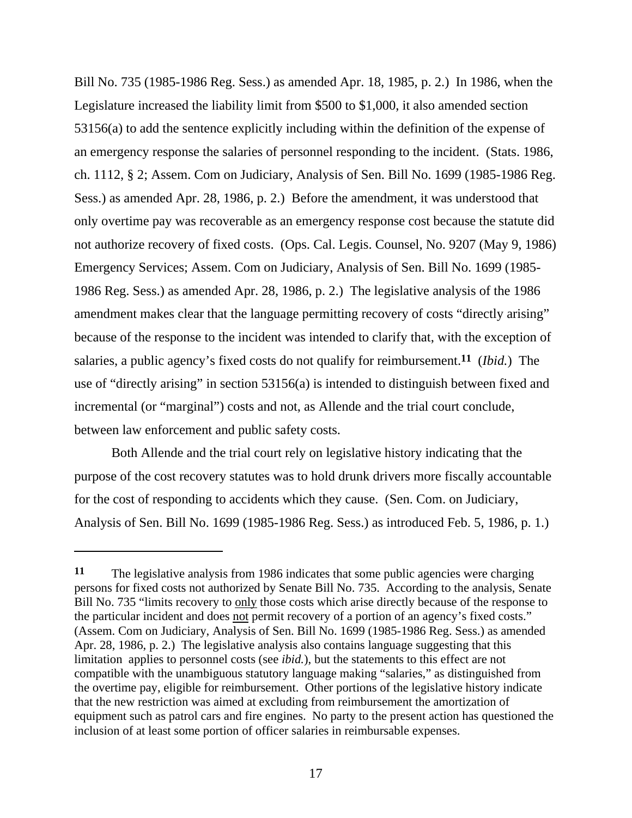Bill No. 735 (1985-1986 Reg. Sess.) as amended Apr. 18, 1985, p. 2.) In 1986, when the Legislature increased the liability limit from \$500 to \$1,000, it also amended section 53156(a) to add the sentence explicitly including within the definition of the expense of an emergency response the salaries of personnel responding to the incident. (Stats. 1986, ch. 1112, § 2; Assem. Com on Judiciary, Analysis of Sen. Bill No. 1699 (1985-1986 Reg. Sess.) as amended Apr. 28, 1986, p. 2.) Before the amendment, it was understood that only overtime pay was recoverable as an emergency response cost because the statute did not authorize recovery of fixed costs. (Ops. Cal. Legis. Counsel, No. 9207 (May 9, 1986) Emergency Services; Assem. Com on Judiciary, Analysis of Sen. Bill No. 1699 (1985- 1986 Reg. Sess.) as amended Apr. 28, 1986, p. 2.) The legislative analysis of the 1986 amendment makes clear that the language permitting recovery of costs "directly arising" because of the response to the incident was intended to clarify that, with the exception of salaries, a public agency's fixed costs do not qualify for reimbursement.**11** (*Ibid.*) The use of "directly arising" in section 53156(a) is intended to distinguish between fixed and incremental (or "marginal") costs and not, as Allende and the trial court conclude, between law enforcement and public safety costs.

 Both Allende and the trial court rely on legislative history indicating that the purpose of the cost recovery statutes was to hold drunk drivers more fiscally accountable for the cost of responding to accidents which they cause. (Sen. Com. on Judiciary, Analysis of Sen. Bill No. 1699 (1985-1986 Reg. Sess.) as introduced Feb. 5, 1986, p. 1.)

**<sup>11</sup>** The legislative analysis from 1986 indicates that some public agencies were charging persons for fixed costs not authorized by Senate Bill No. 735. According to the analysis, Senate Bill No. 735 "limits recovery to only those costs which arise directly because of the response to the particular incident and does not permit recovery of a portion of an agency's fixed costs." (Assem. Com on Judiciary, Analysis of Sen. Bill No. 1699 (1985-1986 Reg. Sess.) as amended Apr. 28, 1986, p. 2.) The legislative analysis also contains language suggesting that this limitation applies to personnel costs (see *ibid.*), but the statements to this effect are not compatible with the unambiguous statutory language making "salaries," as distinguished from the overtime pay, eligible for reimbursement. Other portions of the legislative history indicate that the new restriction was aimed at excluding from reimbursement the amortization of equipment such as patrol cars and fire engines. No party to the present action has questioned the inclusion of at least some portion of officer salaries in reimbursable expenses.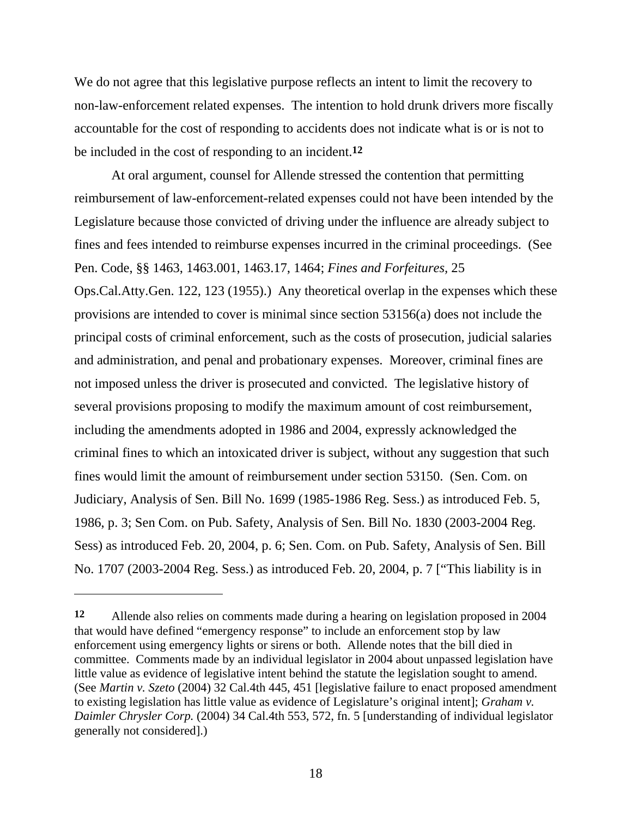We do not agree that this legislative purpose reflects an intent to limit the recovery to non-law-enforcement related expenses. The intention to hold drunk drivers more fiscally accountable for the cost of responding to accidents does not indicate what is or is not to be included in the cost of responding to an incident.**12**

 At oral argument, counsel for Allende stressed the contention that permitting reimbursement of law-enforcement-related expenses could not have been intended by the Legislature because those convicted of driving under the influence are already subject to fines and fees intended to reimburse expenses incurred in the criminal proceedings. (See Pen. Code, §§ 1463, 1463.001, 1463.17, 1464; *Fines and Forfeitures,* 25 Ops.Cal.Atty.Gen. 122, 123 (1955).) Any theoretical overlap in the expenses which these provisions are intended to cover is minimal since section 53156(a) does not include the principal costs of criminal enforcement, such as the costs of prosecution, judicial salaries and administration, and penal and probationary expenses. Moreover, criminal fines are not imposed unless the driver is prosecuted and convicted. The legislative history of several provisions proposing to modify the maximum amount of cost reimbursement, including the amendments adopted in 1986 and 2004, expressly acknowledged the criminal fines to which an intoxicated driver is subject, without any suggestion that such fines would limit the amount of reimbursement under section 53150. (Sen. Com. on Judiciary, Analysis of Sen. Bill No. 1699 (1985-1986 Reg. Sess.) as introduced Feb. 5, 1986, p. 3; Sen Com. on Pub. Safety, Analysis of Sen. Bill No. 1830 (2003-2004 Reg. Sess) as introduced Feb. 20, 2004, p. 6; Sen. Com. on Pub. Safety, Analysis of Sen. Bill No. 1707 (2003-2004 Reg. Sess.) as introduced Feb. 20, 2004, p. 7 ["This liability is in

**<sup>12</sup>** Allende also relies on comments made during a hearing on legislation proposed in 2004 that would have defined "emergency response" to include an enforcement stop by law enforcement using emergency lights or sirens or both. Allende notes that the bill died in committee. Comments made by an individual legislator in 2004 about unpassed legislation have little value as evidence of legislative intent behind the statute the legislation sought to amend. (See *Martin v. Szeto* (2004) 32 Cal.4th 445, 451 [legislative failure to enact proposed amendment to existing legislation has little value as evidence of Legislature's original intent]; *Graham v. Daimler Chrysler Corp.* (2004) 34 Cal.4th 553, 572, fn. 5 [understanding of individual legislator generally not considered].)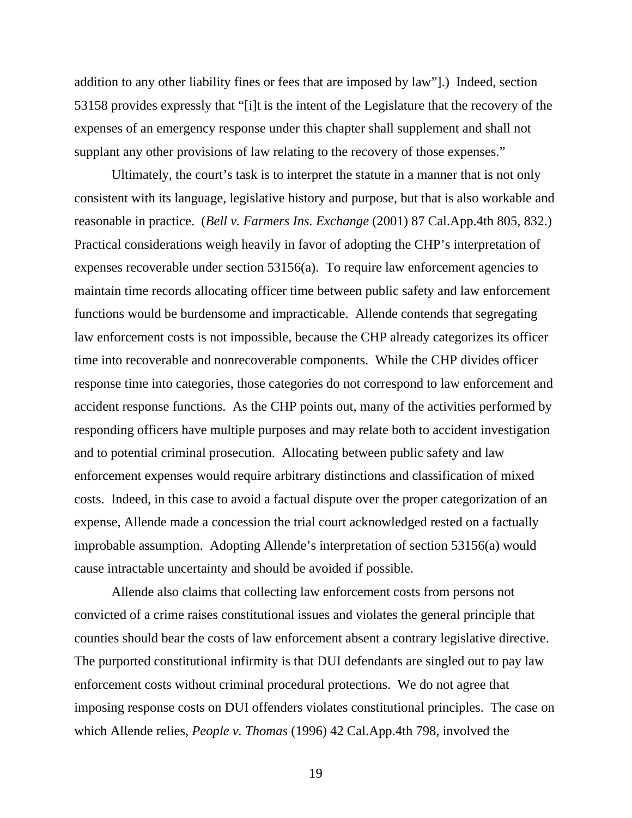addition to any other liability fines or fees that are imposed by law"].)Indeed, section 53158 provides expressly that "[i]t is the intent of the Legislature that the recovery of the expenses of an emergency response under this chapter shall supplement and shall not supplant any other provisions of law relating to the recovery of those expenses."

 Ultimately, the court's task is to interpret the statute in a manner that is not only consistent with its language, legislative history and purpose, but that is also workable and reasonable in practice. (*Bell v. Farmers Ins. Exchange* (2001) 87 Cal.App.4th 805, 832.) Practical considerations weigh heavily in favor of adopting the CHP's interpretation of expenses recoverable under section 53156(a). To require law enforcement agencies to maintain time records allocating officer time between public safety and law enforcement functions would be burdensome and impracticable. Allende contends that segregating law enforcement costs is not impossible, because the CHP already categorizes its officer time into recoverable and nonrecoverable components. While the CHP divides officer response time into categories, those categories do not correspond to law enforcement and accident response functions. As the CHP points out, many of the activities performed by responding officers have multiple purposes and may relate both to accident investigation and to potential criminal prosecution. Allocating between public safety and law enforcement expenses would require arbitrary distinctions and classification of mixed costs. Indeed, in this case to avoid a factual dispute over the proper categorization of an expense, Allende made a concession the trial court acknowledged rested on a factually improbable assumption. Adopting Allende's interpretation of section 53156(a) would cause intractable uncertainty and should be avoided if possible.

 Allende also claims that collecting law enforcement costs from persons not convicted of a crime raises constitutional issues and violates the general principle that counties should bear the costs of law enforcement absent a contrary legislative directive. The purported constitutional infirmity is that DUI defendants are singled out to pay law enforcement costs without criminal procedural protections. We do not agree that imposing response costs on DUI offenders violates constitutional principles. The case on which Allende relies, *People v. Thomas* (1996) 42 Cal.App.4th 798, involved the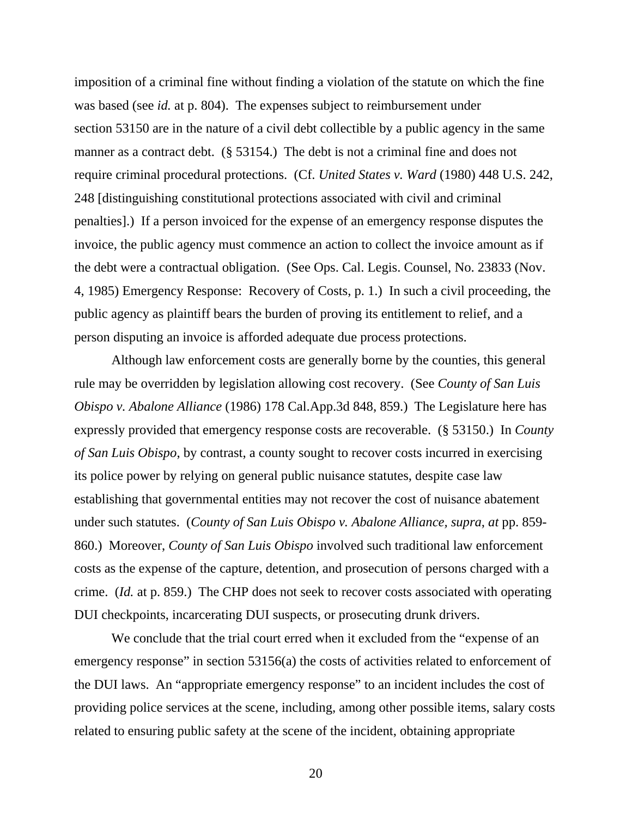imposition of a criminal fine without finding a violation of the statute on which the fine was based (see *id.* at p. 804). The expenses subject to reimbursement under section 53150 are in the nature of a civil debt collectible by a public agency in the same manner as a contract debt. (§ 53154.) The debt is not a criminal fine and does not require criminal procedural protections. (Cf. *United States v. Ward* (1980) 448 U.S. 242, 248 [distinguishing constitutional protections associated with civil and criminal penalties].) If a person invoiced for the expense of an emergency response disputes the invoice, the public agency must commence an action to collect the invoice amount as if the debt were a contractual obligation. (See Ops. Cal. Legis. Counsel, No. 23833 (Nov. 4, 1985) Emergency Response: Recovery of Costs, p. 1.) In such a civil proceeding, the public agency as plaintiff bears the burden of proving its entitlement to relief, and a person disputing an invoice is afforded adequate due process protections.

Although law enforcement costs are generally borne by the counties, this general rule may be overridden by legislation allowing cost recovery. (See *County of San Luis Obispo v. Abalone Alliance* (1986) 178 Cal.App.3d 848, 859.) The Legislature here has expressly provided that emergency response costs are recoverable. (§ 53150.) In *County of San Luis Obispo*, by contrast, a county sought to recover costs incurred in exercising its police power by relying on general public nuisance statutes, despite case law establishing that governmental entities may not recover the cost of nuisance abatement under such statutes. (*County of San Luis Obispo v. Abalone Alliance, supra*, *at* pp. 859- 860.) Moreover, *County of San Luis Obispo* involved such traditional law enforcement costs as the expense of the capture, detention, and prosecution of persons charged with a crime. (*Id.* at p. 859.) The CHP does not seek to recover costs associated with operating DUI checkpoints, incarcerating DUI suspects, or prosecuting drunk drivers.

 We conclude that the trial court erred when it excluded from the "expense of an emergency response" in section 53156(a) the costs of activities related to enforcement of the DUI laws. An "appropriate emergency response" to an incident includes the cost of providing police services at the scene, including, among other possible items, salary costs related to ensuring public safety at the scene of the incident, obtaining appropriate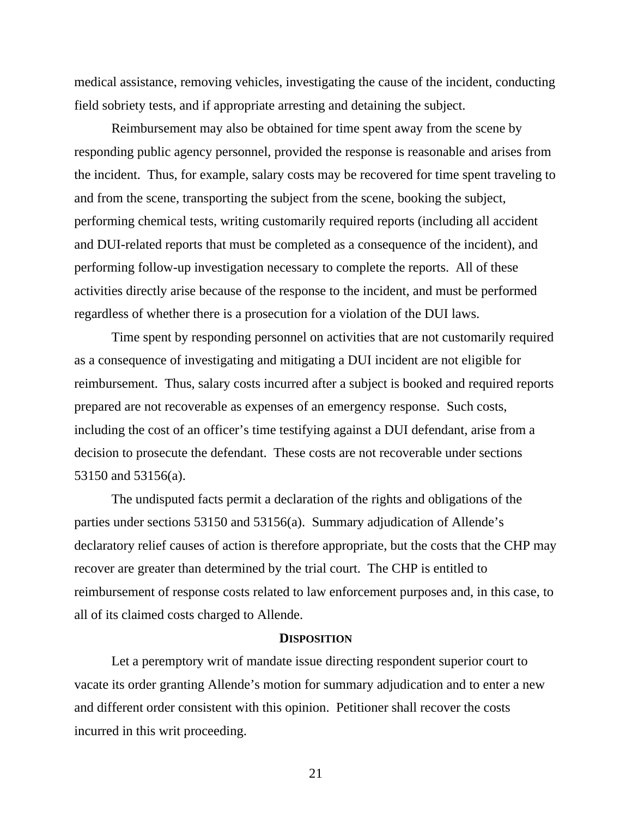medical assistance, removing vehicles, investigating the cause of the incident, conducting field sobriety tests, and if appropriate arresting and detaining the subject.

 Reimbursement may also be obtained for time spent away from the scene by responding public agency personnel, provided the response is reasonable and arises from the incident. Thus, for example, salary costs may be recovered for time spent traveling to and from the scene, transporting the subject from the scene, booking the subject, performing chemical tests, writing customarily required reports (including all accident and DUI-related reports that must be completed as a consequence of the incident), and performing follow-up investigation necessary to complete the reports. All of these activities directly arise because of the response to the incident, and must be performed regardless of whether there is a prosecution for a violation of the DUI laws.

 Time spent by responding personnel on activities that are not customarily required as a consequence of investigating and mitigating a DUI incident are not eligible for reimbursement. Thus, salary costs incurred after a subject is booked and required reports prepared are not recoverable as expenses of an emergency response. Such costs, including the cost of an officer's time testifying against a DUI defendant, arise from a decision to prosecute the defendant. These costs are not recoverable under sections 53150 and 53156(a).

 The undisputed facts permit a declaration of the rights and obligations of the parties under sections 53150 and 53156(a). Summary adjudication of Allende's declaratory relief causes of action is therefore appropriate, but the costs that the CHP may recover are greater than determined by the trial court. The CHP is entitled to reimbursement of response costs related to law enforcement purposes and, in this case, to all of its claimed costs charged to Allende.

#### **DISPOSITION**

 Let a peremptory writ of mandate issue directing respondent superior court to vacate its order granting Allende's motion for summary adjudication and to enter a new and different order consistent with this opinion. Petitioner shall recover the costs incurred in this writ proceeding.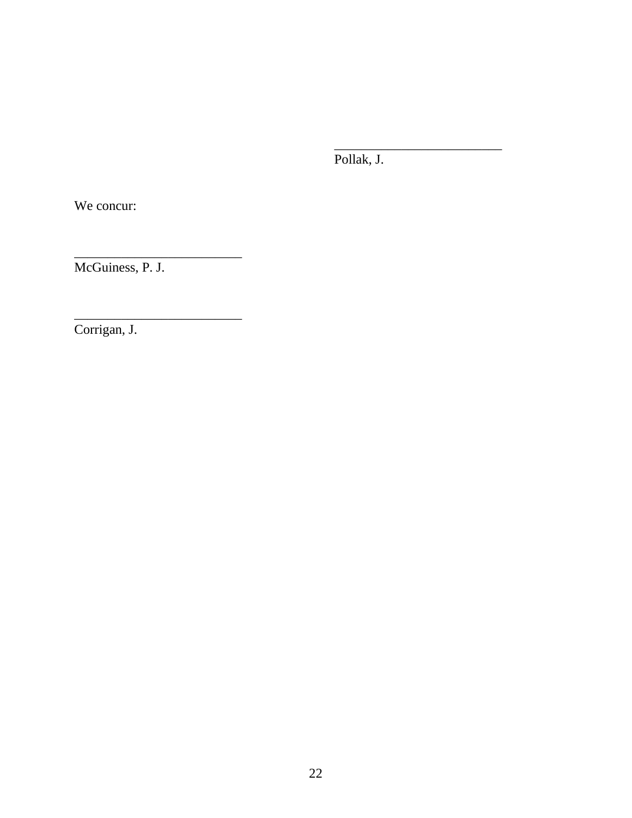Pollak, J.

 $\frac{1}{\sqrt{2}}$  , and the contract of the contract of the contract of the contract of the contract of the contract of the contract of the contract of the contract of the contract of the contract of the contract of the contra

We concur:

\_\_\_\_\_\_\_\_\_\_\_\_\_\_\_\_\_\_\_\_\_\_\_\_\_ McGuiness, P. J.

\_\_\_\_\_\_\_\_\_\_\_\_\_\_\_\_\_\_\_\_\_\_\_\_\_

Corrigan, J.